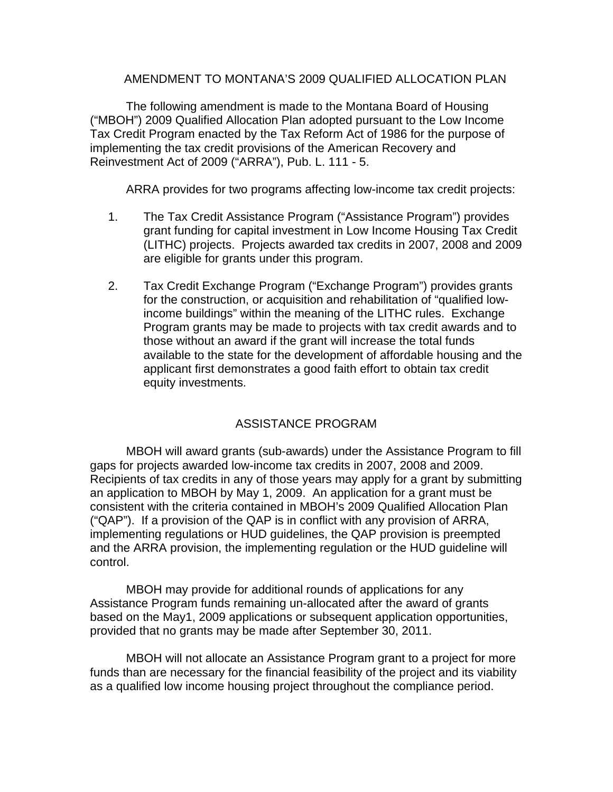### AMENDMENT TO MONTANA'S 2009 QUALIFIED ALLOCATION PLAN

The following amendment is made to the Montana Board of Housing ("MBOH") 2009 Qualified Allocation Plan adopted pursuant to the Low Income Tax Credit Program enacted by the Tax Reform Act of 1986 for the purpose of implementing the tax credit provisions of the American Recovery and Reinvestment Act of 2009 ("ARRA"), Pub. L. 111 - 5.

ARRA provides for two programs affecting low-income tax credit projects:

- 1. The Tax Credit Assistance Program ("Assistance Program") provides grant funding for capital investment in Low Income Housing Tax Credit (LITHC) projects. Projects awarded tax credits in 2007, 2008 and 2009 are eligible for grants under this program.
- 2. Tax Credit Exchange Program ("Exchange Program") provides grants for the construction, or acquisition and rehabilitation of "qualified lowincome buildings" within the meaning of the LITHC rules. Exchange Program grants may be made to projects with tax credit awards and to those without an award if the grant will increase the total funds available to the state for the development of affordable housing and the applicant first demonstrates a good faith effort to obtain tax credit equity investments.

# ASSISTANCE PROGRAM

 MBOH will award grants (sub-awards) under the Assistance Program to fill gaps for projects awarded low-income tax credits in 2007, 2008 and 2009. Recipients of tax credits in any of those years may apply for a grant by submitting an application to MBOH by May 1, 2009. An application for a grant must be consistent with the criteria contained in MBOH's 2009 Qualified Allocation Plan ("QAP"). If a provision of the QAP is in conflict with any provision of ARRA, implementing regulations or HUD guidelines, the QAP provision is preempted and the ARRA provision, the implementing regulation or the HUD guideline will control.

 MBOH may provide for additional rounds of applications for any Assistance Program funds remaining un-allocated after the award of grants based on the May1, 2009 applications or subsequent application opportunities, provided that no grants may be made after September 30, 2011.

 MBOH will not allocate an Assistance Program grant to a project for more funds than are necessary for the financial feasibility of the project and its viability as a qualified low income housing project throughout the compliance period.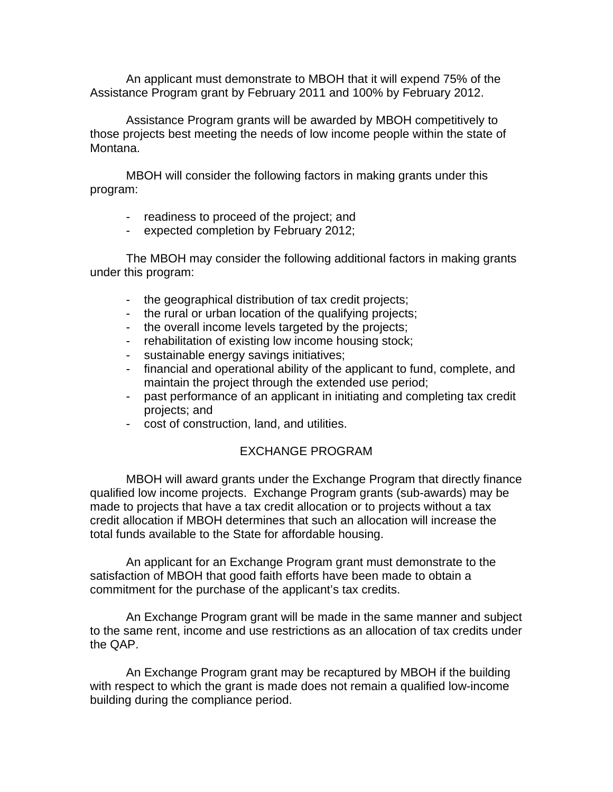An applicant must demonstrate to MBOH that it will expend 75% of the Assistance Program grant by February 2011 and 100% by February 2012.

 Assistance Program grants will be awarded by MBOH competitively to those projects best meeting the needs of low income people within the state of Montana.

 MBOH will consider the following factors in making grants under this program:

- readiness to proceed of the project; and
- expected completion by February 2012;

The MBOH may consider the following additional factors in making grants under this program:

- the geographical distribution of tax credit projects;
- the rural or urban location of the qualifying projects;
- the overall income levels targeted by the projects;
- rehabilitation of existing low income housing stock;
- sustainable energy savings initiatives;
- financial and operational ability of the applicant to fund, complete, and maintain the project through the extended use period;
- past performance of an applicant in initiating and completing tax credit projects; and
- cost of construction, land, and utilities.

## EXCHANGE PROGRAM

 MBOH will award grants under the Exchange Program that directly finance qualified low income projects. Exchange Program grants (sub-awards) may be made to projects that have a tax credit allocation or to projects without a tax credit allocation if MBOH determines that such an allocation will increase the total funds available to the State for affordable housing.

 An applicant for an Exchange Program grant must demonstrate to the satisfaction of MBOH that good faith efforts have been made to obtain a commitment for the purchase of the applicant's tax credits.

 An Exchange Program grant will be made in the same manner and subject to the same rent, income and use restrictions as an allocation of tax credits under the QAP.

 An Exchange Program grant may be recaptured by MBOH if the building with respect to which the grant is made does not remain a qualified low-income building during the compliance period.